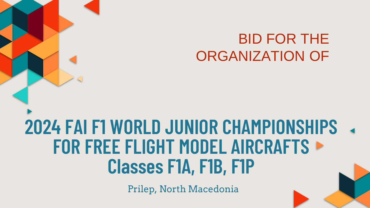#### BID FOR THE ORGANIZATION OF

## **2024 FAI F1 WORLD JUNIOR CHAMPIONSHIPS FOR FREE FLIGHT MODEL AIRCRAFTS Classes F1A, F1B, F1P**

Prilep, North Macedonia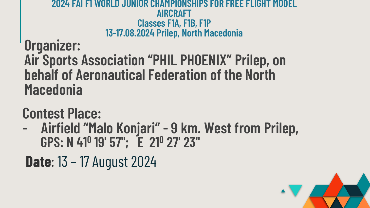#### **2024 FAI F1 WORLD JUNIOR CHAMPIONSHIPS FOR FREE FLIGHT MODEL AIRCRAFT Classes F1A, F1B, F1P 13-17.08.2024 Prilep, North Macedonia Organizer:**

**Air Sports Association "PHIL PHOENIX" Prilep, on behalf of Aeronautical Federation of the North Macedonia**

#### **Contest Place:**

- **- Airfield "Malo Konjari" - 9 km. West from Prilep, GPS: N 41<sup>0</sup> 19' 57''; E 21<sup>0</sup> 27' 23''**
- **Date**: 13 17 August 2024

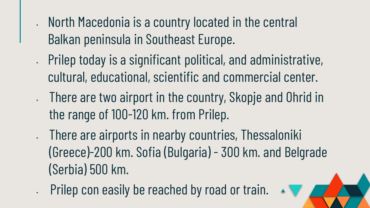- North Macedonia is a country located in the central Balkan peninsula in Southeast Europe.
- Prilep today is a significant political, and administrative, cultural, educational, scientific and commercial center.
- There are two airport in the country, Skopje and Ohrid in the range of 100-120 km. from Prilep.
- There are airports in nearby countries, Thessaloniki (Greece)-200 km. Sofia (Bulgaria) - 300 km. and Belgrade (Serbia) 500 km.
- Prilep con easily be reached by road or train.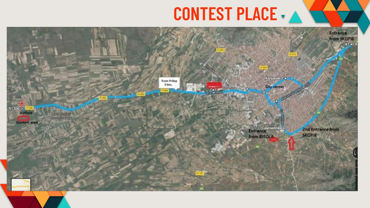### **CONTEST PLACE**

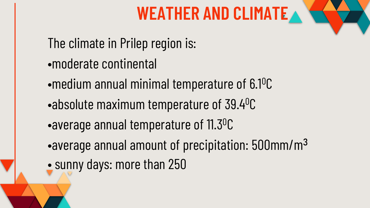## **WEATHER AND CLIMATE**

- The climate in Prilep region is:
- •moderate continental
- •medium annual minimal temperature of  $6.1^{\circ}$ C
- •absolute maximum temperature of  $39.4^0C$
- •average annual temperature of 11.3<sup>0</sup>C
- •average annual amount of precipitation: 500mm/m<sup>3</sup>
- sunny days: more than 250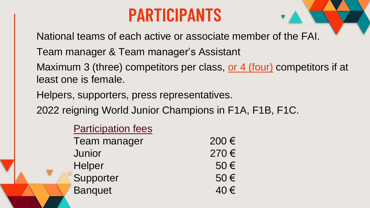## **PARTICIPANTS**

National teams of each active or associate member of the FAI.

- Team manager & Team manager's Assistant
- Maximum 3 (three) competitors per class, or 4 (four) competitors if at least one is female.
- Helpers, supporters, press representatives.
- 2022 reigning World Junior Champions in F1A, F1B, F1C.

| <b>Participation fees</b> |      |
|---------------------------|------|
| <b>Team manager</b>       | 200€ |
| Junior                    | 270€ |
| <b>Helper</b>             | 50€  |
| Supporter                 | 50€  |
| <b>Banquet</b>            | 40€  |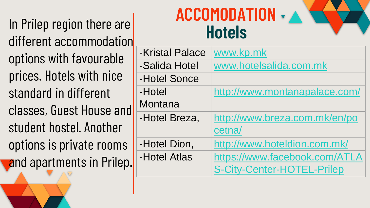In Prilep region there are **ACCOTIODA** different accommodation options with favourable prices. Hotels with nice standard in different classes, Guest House and student hostel. Another options is private rooms **and apartments in Prilep.** 

# **ACCOMODATION**

| -Kristal Palace | www.kp.mk                         |
|-----------------|-----------------------------------|
| -Salida Hotel   | www.hotelsalida.com.mk            |
| -Hotel Sonce    |                                   |
| -Hotel          | http://www.montanapalace.com/     |
| Montana         |                                   |
| -Hotel Breza,   | http://www.breza.com.mk/en/po     |
|                 | cetna/                            |
| -Hotel Dion,    | http://www.hoteldion.com.mk/      |
| -Hotel Atlas    | https://www.facebook.com/ATLA     |
|                 | <b>S-City-Center-HOTEL-Prilep</b> |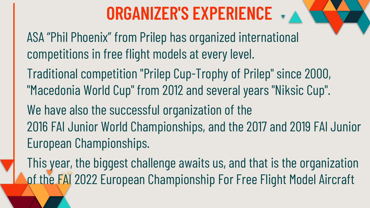## **ORGANIZER'S EXPERIENCE**

- ASA "Phil Phoenix" from Prilep has organized international competitions in free flight models at every level.
- Traditional competition "Prilep Cup-Trophy of Prilep" since 2000, "Macedonia World Cup" from 2012 and several years "Niksic Cup".
- We have also the successful organization of the 2016 FAI Junior World Championships, and the 2017 and 2019 FAI Junior European Championships.

This year, the biggest challenge awaits us, and that is the organization of the FAI 2022 European Championship For Free Flight Model Aircraft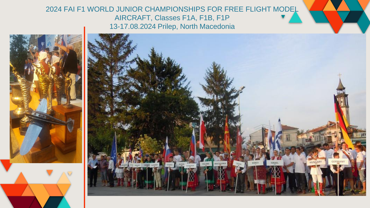2024 FAI F1 WORLD JUNIOR CHAMPIONSHIPS FOR FREE FLIGHT MODEL AIRCRAFT, Classes F1A, F1B, F1P 13-17.08.2024 Prilep, North Macedonia



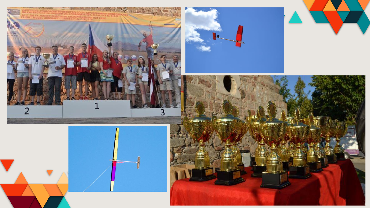